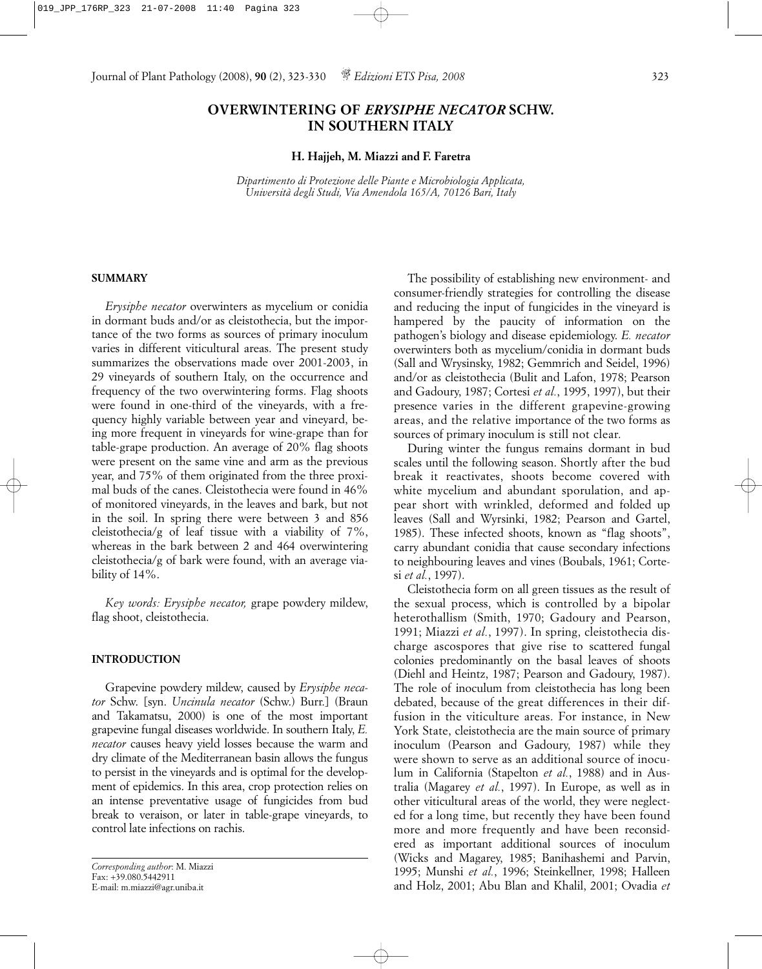Journal of Plant Pathology (2008), **90** (2), 323-330 *Edizioni ETS Pisa, 2008* 323

# **OVERWINTERING OF** *ERYSIPHE NECATOR* **SCHW. IN SOUTHERN ITALY**

#### **H. Hajjeh, M. Miazzi and F. Faretra**

*Dipartimento di Protezione delle Piante e Microbiologia Applicata, Università degli Studi, Via Amendola 165/A, 70126 Bari, Italy*

#### **SUMMARY**

*Erysiphe necator* overwinters as mycelium or conidia in dormant buds and/or as cleistothecia, but the importance of the two forms as sources of primary inoculum varies in different viticultural areas. The present study summarizes the observations made over 2001-2003, in 29 vineyards of southern Italy, on the occurrence and frequency of the two overwintering forms. Flag shoots were found in one-third of the vineyards, with a frequency highly variable between year and vineyard, being more frequent in vineyards for wine-grape than for table-grape production. An average of 20% flag shoots were present on the same vine and arm as the previous year, and 75% of them originated from the three proximal buds of the canes. Cleistothecia were found in 46% of monitored vineyards, in the leaves and bark, but not in the soil. In spring there were between 3 and 856 cleistothecia/g of leaf tissue with a viability of 7%, whereas in the bark between 2 and 464 overwintering cleistothecia/g of bark were found, with an average viability of 14%.

*Key words: Erysiphe necator,* grape powdery mildew, flag shoot, cleistothecia.

#### **INTRODUCTION**

Grapevine powdery mildew, caused by *Erysiphe necator* Schw. [syn. *Uncinula necator* (Schw.) Burr.] (Braun and Takamatsu, 2000) is one of the most important grapevine fungal diseases worldwide. In southern Italy, *E. necator* causes heavy yield losses because the warm and dry climate of the Mediterranean basin allows the fungus to persist in the vineyards and is optimal for the development of epidemics. In this area, crop protection relies on an intense preventative usage of fungicides from bud break to veraison, or later in table-grape vineyards, to control late infections on rachis.

*Corresponding author*: M. Miazzi Fax: +39.080.5442911 E-mail: m.miazzi@agr.uniba.it

The possibility of establishing new environment- and consumer-friendly strategies for controlling the disease and reducing the input of fungicides in the vineyard is hampered by the paucity of information on the pathogen's biology and disease epidemiology. *E. necator* overwinters both as mycelium/conidia in dormant buds (Sall and Wrysinsky, 1982; Gemmrich and Seidel, 1996) and/or as cleistothecia (Bulit and Lafon, 1978; Pearson and Gadoury, 1987; Cortesi *et al.*, 1995, 1997), but their presence varies in the different grapevine-growing areas, and the relative importance of the two forms as sources of primary inoculum is still not clear.

During winter the fungus remains dormant in bud scales until the following season. Shortly after the bud break it reactivates, shoots become covered with white mycelium and abundant sporulation, and appear short with wrinkled, deformed and folded up leaves (Sall and Wyrsinki, 1982; Pearson and Gartel, 1985). These infected shoots, known as "flag shoots", carry abundant conidia that cause secondary infections to neighbouring leaves and vines (Boubals, 1961; Cortesi *et al.*, 1997).

Cleistothecia form on all green tissues as the result of the sexual process, which is controlled by a bipolar heterothallism (Smith, 1970; Gadoury and Pearson, 1991; Miazzi *et al.*, 1997). In spring, cleistothecia discharge ascospores that give rise to scattered fungal colonies predominantly on the basal leaves of shoots (Diehl and Heintz, 1987; Pearson and Gadoury, 1987). The role of inoculum from cleistothecia has long been debated, because of the great differences in their diffusion in the viticulture areas. For instance, in New York State, cleistothecia are the main source of primary inoculum (Pearson and Gadoury, 1987) while they were shown to serve as an additional source of inoculum in California (Stapelton *et al.*, 1988) and in Australia (Magarey *et al.*, 1997). In Europe, as well as in other viticultural areas of the world, they were neglected for a long time, but recently they have been found more and more frequently and have been reconsidered as important additional sources of inoculum (Wicks and Magarey, 1985; Banihashemi and Parvin, 1995; Munshi *et al.*, 1996; Steinkellner, 1998; Halleen and Holz, 2001; Abu Blan and Khalil, 2001; Ovadia *et*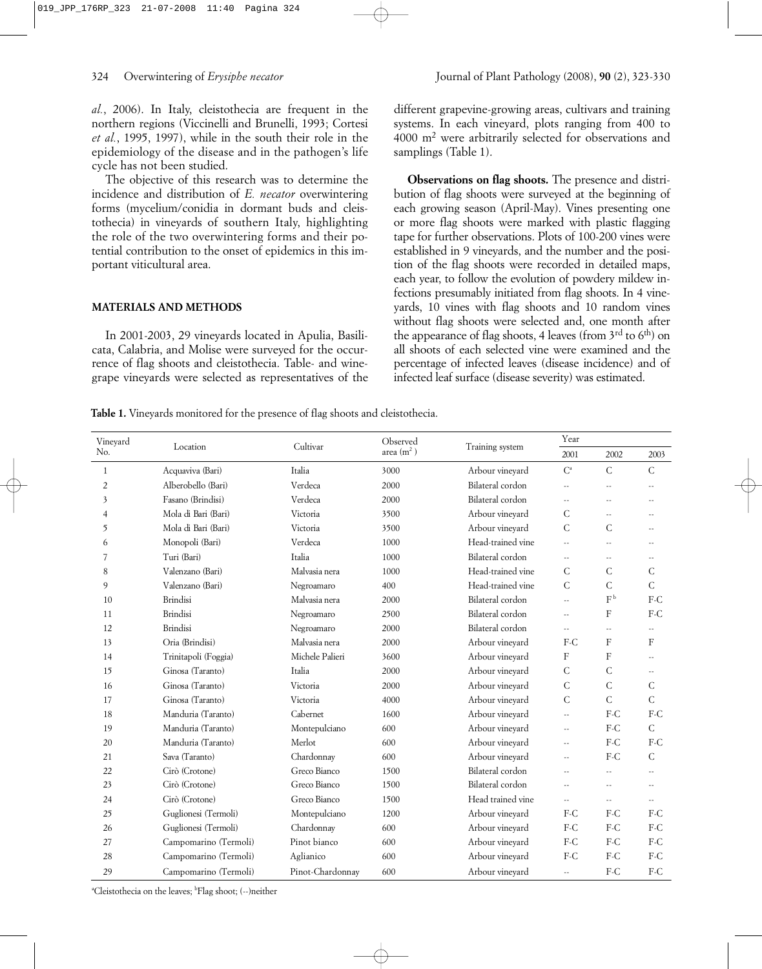*al.*, 2006). In Italy, cleistothecia are frequent in the northern regions (Viccinelli and Brunelli, 1993; Cortesi *et al.*, 1995, 1997), while in the south their role in the epidemiology of the disease and in the pathogen's life cycle has not been studied.

The objective of this research was to determine the incidence and distribution of *E. necator* overwintering forms (mycelium/conidia in dormant buds and cleistothecia) in vineyards of southern Italy, highlighting the role of the two overwintering forms and their potential contribution to the onset of epidemics in this important viticultural area.

### **MATERIALS AND METHODS**

In 2001-2003, 29 vineyards located in Apulia, Basilicata, Calabria, and Molise were surveyed for the occurrence of flag shoots and cleistothecia. Table- and winegrape vineyards were selected as representatives of the different grapevine-growing areas, cultivars and training systems. In each vineyard, plots ranging from 400 to 4000 m2 were arbitrarily selected for observations and samplings (Table 1).

**Observations on flag shoots.** The presence and distribution of flag shoots were surveyed at the beginning of each growing season (April-May). Vines presenting one or more flag shoots were marked with plastic flagging tape for further observations. Plots of 100-200 vines were established in 9 vineyards, and the number and the position of the flag shoots were recorded in detailed maps, each year, to follow the evolution of powdery mildew infections presumably initiated from flag shoots. In 4 vineyards, 10 vines with flag shoots and 10 random vines without flag shoots were selected and, one month after the appearance of flag shoots, 4 leaves (from  $3<sup>rd</sup>$  to  $6<sup>th</sup>$ ) on all shoots of each selected vine were examined and the percentage of infected leaves (disease incidence) and of infected leaf surface (disease severity) was estimated.

**Table 1.** Vineyards monitored for the presence of flag shoots and cleistothecia.

| Vineyard       | Location              | Cultivar         | Observed     | Training system   | Year                        |               |                      |
|----------------|-----------------------|------------------|--------------|-------------------|-----------------------------|---------------|----------------------|
| No.            |                       |                  | area $(m^2)$ |                   | 2001                        | 2002          | 2003                 |
| $\mathbf{1}$   | Acquaviva (Bari)      | Italia           | 3000         | Arbour vineyard   | $C^a$                       | $\mathsf{C}$  | $\overline{C}$       |
| $\overline{2}$ | Alberobello (Bari)    | Verdeca          | 2000         | Bilateral cordon  | $\ddotsc$                   | $\sim$        | $\overline{a}$       |
| 3              | Fasano (Brindisi)     | Verdeca          | 2000         | Bilateral cordon  | $\overline{a}$              | $\sim$        | $\sim$ $\sim$        |
| $\overline{4}$ | Mola di Bari (Bari)   | Victoria         | 3500         | Arbour vineyard   | $\mathsf{C}$                | $\sim$ $\sim$ | $\overline{a}$       |
| 5              | Mola di Bari (Bari)   | Victoria         | 3500         | Arbour vineyard   | $\mathsf{C}$                | $\mathsf{C}$  | $\sim$               |
| 6              | Monopoli (Bari)       | Verdeca          | 1000         | Head-trained vine | $\sim$                      | $\sim$ $\sim$ | $\sim$               |
| 7              | Turi (Bari)           | Italia           | 1000         | Bilateral cordon  | $\mathcal{L}^{\mathcal{L}}$ | $\sim$ $\sim$ | $-$                  |
| 8              | Valenzano (Bari)      | Malvasia nera    | 1000         | Head-trained vine | $\mathcal{C}$               | C             | C                    |
| 9              | Valenzano (Bari)      | Negroamaro       | 400          | Head-trained vine | $\mathcal{C}$               | $\mathsf{C}$  | $\overline{C}$       |
| 10             | <b>Brindisi</b>       | Malvasia nera    | 2000         | Bilateral cordon  | $\overline{a}$              | $F^{\,b}$     | $F-C$                |
| 11             | <b>Brindisi</b>       | Negroamaro       | 2500         | Bilateral cordon  | $-1$                        | F             | $F-C$                |
| 12             | <b>Brindisi</b>       | Negroamaro       | 2000         | Bilateral cordon  | $\overline{a}$              | $\sim$ $\sim$ | $\sim$ $\sim$        |
| 13             | Oria (Brindisi)       | Malvasia nera    | 2000         | Arbour vineyard   | $F-C$                       | F             | F                    |
| 14             | Trinitapoli (Foggia)  | Michele Palieri  | 3600         | Arbour vineyard   | F                           | F             | $\sim$               |
| 15             | Ginosa (Taranto)      | Italia           | 2000         | Arbour vineyard   | $\mathsf{C}$                | C             | $\sim$               |
| 16             | Ginosa (Taranto)      | Victoria         | 2000         | Arbour vineyard   | $\mathsf{C}$                | $\mathsf{C}$  | C                    |
| 17             | Ginosa (Taranto)      | Victoria         | 4000         | Arbour vinevard   | Ċ                           | $\mathsf{C}$  | $\mathcal{C}$        |
| 18             | Manduria (Taranto)    | Cabernet         | 1600         | Arbour vineyard   | $\overline{a}$              | $F-C$         | $F-C$                |
| 19             | Manduria (Taranto)    | Montepulciano    | 600          | Arbour vineyard   | $\overline{\phantom{a}}$    | F-C           | $\mathsf C$          |
| 20             | Manduria (Taranto)    | Merlot           | 600          | Arbour vineyard   | $\overline{\phantom{a}}$    | $F-C$         | F-C                  |
| 21             | Sava (Taranto)        | Chardonnay       | 600          | Arbour vineyard   | $\overline{\phantom{a}}$    | F-C           | C                    |
| 22             | Cirò (Crotone)        | Greco Bianco     | 1500         | Bilateral cordon  | $\sim$                      | $\sim$        | $\sim$               |
| 23             | Cirò (Crotone)        | Greco Bianco     | 1500         | Bilateral cordon  | $\sim$ $\sim$               | $\sim$        | $\sim$               |
| 24             | Cirò (Crotone)        | Greco Bianco     | 1500         | Head trained vine | $\overline{a}$              | $\sim$ $\sim$ | $\overline{a}$       |
| 25             | Guglionesi (Termoli)  | Montepulciano    | 1200         | Arbour vineyard   | F-C                         | F-C           | $F-C$                |
| 26             | Guglionesi (Termoli)  | Chardonnay       | 600          | Arbour vineyard   | F-C                         | F-C           | F-C                  |
| 27             | Campomarino (Termoli) | Pinot bianco     | 600          | Arbour vineyard   | F-C                         | F-C           | F-C                  |
| 28             | Campomarino (Termoli) | Aglianico        | 600          | Arbour vineyard   | F-C                         | $F-C$         | F-C                  |
| 29             | Campomarino (Termoli) | Pinot-Chardonnay | 600          | Arbour vineyard   | $\overline{\phantom{a}}$ .  | $F-C$         | $\operatorname{F-C}$ |

<sup>a</sup>Cleistothecia on the leaves; <sup>b</sup>Flag shoot; (--)neither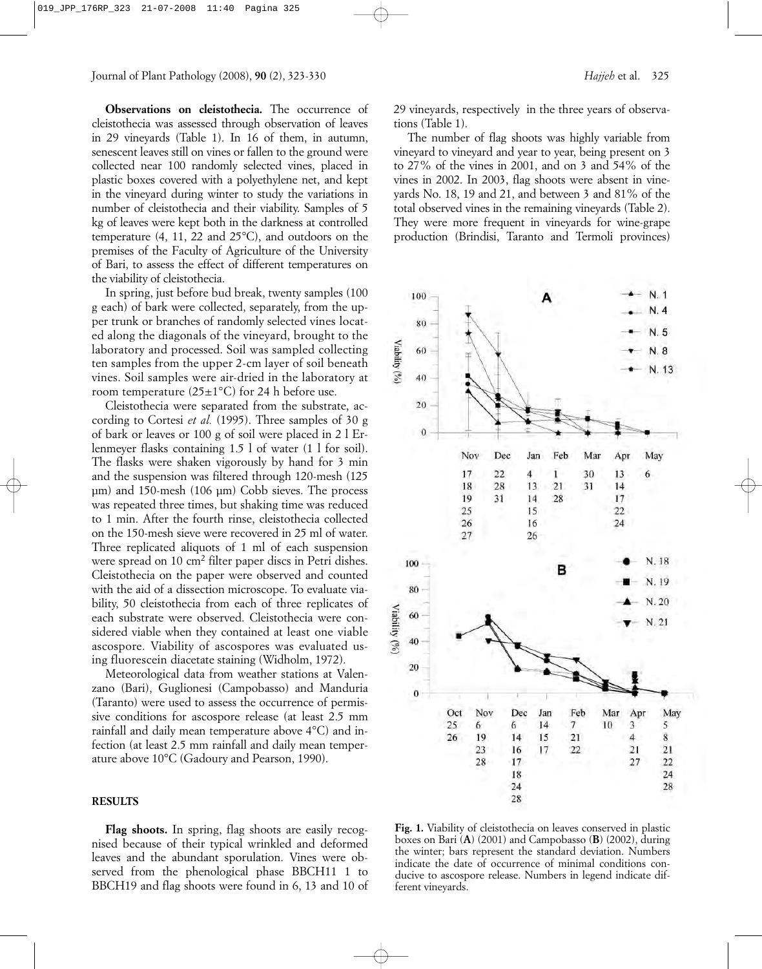Journal of Plant Pathology (2008), **90** (2), 323-330 *Hajjeh* et al. 325

**Observations on cleistothecia.** The occurrence of cleistothecia was assessed through observation of leaves in 29 vineyards (Table 1). In 16 of them, in autumn, senescent leaves still on vines or fallen to the ground were collected near 100 randomly selected vines, placed in plastic boxes covered with a polyethylene net, and kept in the vineyard during winter to study the variations in number of cleistothecia and their viability. Samples of 5 kg of leaves were kept both in the darkness at controlled temperature (4, 11, 22 and 25°C), and outdoors on the premises of the Faculty of Agriculture of the University of Bari, to assess the effect of different temperatures on the viability of cleistothecia.

In spring, just before bud break, twenty samples (100 g each) of bark were collected, separately, from the upper trunk or branches of randomly selected vines located along the diagonals of the vineyard, brought to the laboratory and processed. Soil was sampled collecting ten samples from the upper 2-cm layer of soil beneath vines. Soil samples were air-dried in the laboratory at room temperature  $(25\pm1\textdegree C)$  for 24 h before use.

Cleistothecia were separated from the substrate, according to Cortesi *et al.* (1995). Three samples of 30 g of bark or leaves or 100 g of soil were placed in 2 l Erlenmeyer flasks containing 1.5 l of water (1 l for soil). The flasks were shaken vigorously by hand for 3 min and the suspension was filtered through 120-mesh (125 µm) and 150-mesh (106 µm) Cobb sieves. The process was repeated three times, but shaking time was reduced to 1 min. After the fourth rinse, cleistothecia collected on the 150-mesh sieve were recovered in 25 ml of water. Three replicated aliquots of 1 ml of each suspension were spread on 10 cm<sup>2</sup> filter paper discs in Petri dishes. Cleistothecia on the paper were observed and counted with the aid of a dissection microscope. To evaluate viability, 50 cleistothecia from each of three replicates of each substrate were observed. Cleistothecia were considered viable when they contained at least one viable ascospore. Viability of ascospores was evaluated using fluorescein diacetate staining (Widholm, 1972).

Meteorological data from weather stations at Valenzano (Bari), Guglionesi (Campobasso) and Manduria (Taranto) were used to assess the occurrence of permissive conditions for ascospore release (at least 2.5 mm rainfall and daily mean temperature above 4°C) and infection (at least 2.5 mm rainfall and daily mean temperature above 10°C (Gadoury and Pearson, 1990).

### **RESULTS**

**Flag shoots.** In spring, flag shoots are easily recognised because of their typical wrinkled and deformed leaves and the abundant sporulation. Vines were observed from the phenological phase BBCH11 1 to BBCH19 and flag shoots were found in 6, 13 and 10 of 29 vineyards, respectively in the three years of observations (Table 1).

The number of flag shoots was highly variable from vineyard to vineyard and year to year, being present on 3 to 27% of the vines in 2001, and on 3 and 54% of the vines in 2002. In 2003, flag shoots were absent in vineyards No. 18, 19 and 21, and between 3 and 81% of the total observed vines in the remaining vineyards (Table 2). They were more frequent in vineyards for wine-grape production (Brindisi, Taranto and Termoli provinces)



Fig. 1. Viability of cleistothecia on leaves conserved in plastic boxes on Bari (**A**) (2001) and Campobasso (**B**) (2002), during the winter; bars represent the standard deviation. Numbers indicate the date of occurrence of minimal conditions conducive to ascospore release. Numbers in legend indicate different vineyards.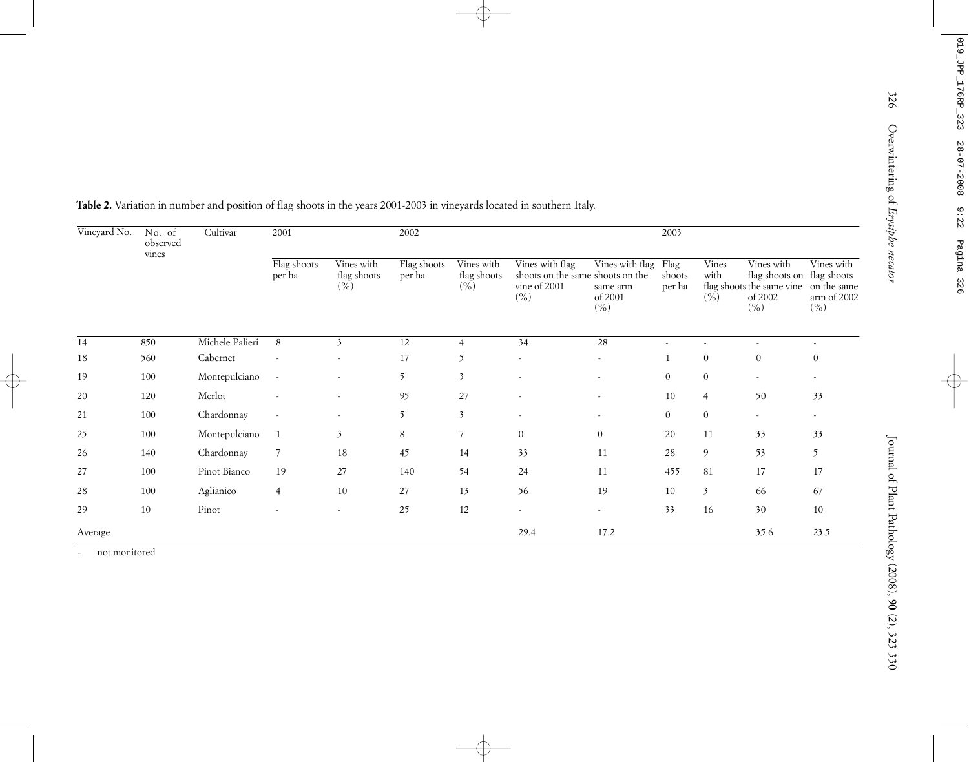326 Overwintering of *Erysiphe necator*

326

| Vineyard No.    | No. of<br>observed<br>vines | Cultivar        | 2001                  |                                              | 2002                  |                                              |                                                                             |                                                     | 2003             |                       |                                                                                                      |                                   |
|-----------------|-----------------------------|-----------------|-----------------------|----------------------------------------------|-----------------------|----------------------------------------------|-----------------------------------------------------------------------------|-----------------------------------------------------|------------------|-----------------------|------------------------------------------------------------------------------------------------------|-----------------------------------|
|                 |                             |                 | Flag shoots<br>per ha | Vines with<br>flag shoots<br>$(\frac{6}{6})$ | Flag shoots<br>per ha | Vines with<br>flag shoots<br>$(\frac{6}{6})$ | Vines with flag<br>shoots on the same shoots on the<br>vine of 2001<br>( %) | Vines with flag Flag<br>same arm<br>of 2001<br>( %) | shoots<br>per ha | Vines<br>with<br>(% ) | Vines with<br>flag shoots on flag shoots<br>flag shoots the same vine on the same<br>of 2002<br>( %) | Vines with<br>arm of 2002<br>( %) |
| $\overline{14}$ | 850                         | Michele Palieri | 8                     | $\mathfrak{Z}$                               | 12                    | $\overline{4}$                               | 34                                                                          | 28                                                  | $\sim$           | $\blacksquare$        | $\overline{\phantom{a}}$                                                                             | $\overline{\phantom{a}}$          |
| $18\,$          | 560                         | Cabernet        |                       |                                              | 17                    | 5                                            |                                                                             |                                                     | $\mathbf{1}$     | $\boldsymbol{0}$      | $\boldsymbol{0}$                                                                                     | $\boldsymbol{0}$                  |
| 19              | 100                         | Montepulciano   | $\sim$                |                                              | $5\overline{)}$       | $\mathfrak{Z}$                               |                                                                             |                                                     | $\overline{0}$   | $\boldsymbol{0}$      |                                                                                                      |                                   |
| $20\,$          | 120                         | Merlot          |                       |                                              | 95                    | 27                                           |                                                                             |                                                     | $10\,$           | $\overline{4}$        | 50                                                                                                   | 33                                |
| $21\,$          | 100                         | Chardonnay      |                       |                                              | 5                     | $\mathfrak{Z}$                               | ×.                                                                          |                                                     | $\overline{0}$   | $\boldsymbol{0}$      | ÷.                                                                                                   | $\mathbf{r}$                      |
| 25              | 100                         | Montepulciano   | 1                     | $\mathfrak{Z}$                               | 8                     | $\overline{7}$                               | $\overline{0}$                                                              | $\overline{0}$                                      | $20\,$           | $11\,$                | 33                                                                                                   | 33                                |
| 26              | 140                         | Chardonnay      | $\overline{7}$        | $18\,$                                       | 45                    | 14                                           | 33                                                                          | 11                                                  | $28\,$           | $\overline{9}$        | 53                                                                                                   | $5\overline{)}$                   |
| 27              | 100                         | Pinot Bianco    | 19                    | 27                                           | 140                   | 54                                           | 24                                                                          | 11                                                  | 455              | $81\,$                | $17\,$                                                                                               | 17                                |
| $28\,$          | 100                         | Aglianico       | $\overline{4}$        | $10\,$                                       | $27\,$                | 13                                           | 56                                                                          | 19                                                  | 10               | $\mathfrak{Z}$        | 66                                                                                                   | 67                                |
| 29              | 10                          | Pinot           |                       | $\omega$                                     | 25                    | $12\,$                                       | $\overline{\phantom{a}}$                                                    |                                                     | 33               | 16                    | 30                                                                                                   | 10                                |
| Average         |                             |                 |                       |                                              |                       |                                              | 29.4                                                                        | 17.2                                                |                  |                       | 35.6                                                                                                 | 23.5                              |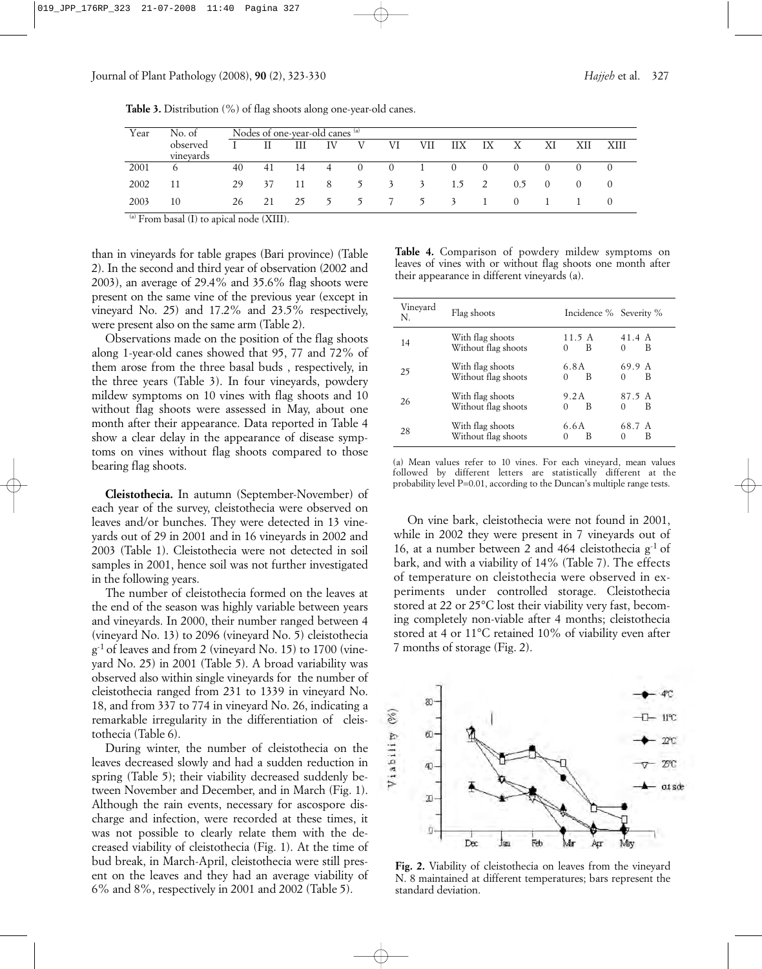Journal of Plant Pathology (2008), **90** (2), 323-330 *Hajjeh* et al. 327

| <b>Table 3.</b> Distribution $\left(\% \right)$ of flag shoots along one-year-old canes. |
|------------------------------------------------------------------------------------------|
|------------------------------------------------------------------------------------------|

| Year                      | No. of    |    |    | Nodes of one-year-old canes (a) |                |                  |           |              |          |                |                  |            |                  |        |
|---------------------------|-----------|----|----|---------------------------------|----------------|------------------|-----------|--------------|----------|----------------|------------------|------------|------------------|--------|
|                           | observed  |    |    | Ш                               | IV             | V                | VI        | VII          | ШX       | IX             | $\mathbf{X}$     | ΧI         | XII              | - XIII |
|                           | vinevards |    |    |                                 |                |                  |           |              |          |                |                  |            |                  |        |
| 2001                      | 6         | 40 | 41 | -14                             | -4             | $\left( \right)$ | $\theta$  | $\mathbf{I}$ | $\sim$ 0 | $\Omega$       | $\left( \right)$ | 0          | $\Omega$         |        |
| 2002                      | 11        | 29 | 37 | -11                             | - 8            |                  | 5 3 3 1.5 |              |          | $\overline{2}$ | 0.5              | $\bigcirc$ | $\left( \right)$ |        |
| 2003<br><b>CONTRACTOR</b> | 10        | 26 | 21 | 25                              | 5 <sup>5</sup> |                  | 5 7 5 3   |              |          |                | ()               |            |                  |        |

 $\alpha$ ) From basal (I) to apical node (XIII).

than in vineyards for table grapes (Bari province) (Table 2). In the second and third year of observation (2002 and 2003), an average of 29.4% and 35.6% flag shoots were present on the same vine of the previous year (except in vineyard No. 25) and 17.2% and 23.5% respectively, were present also on the same arm (Table 2).

Observations made on the position of the flag shoots along 1-year-old canes showed that 95, 77 and 72% of them arose from the three basal buds , respectively, in the three years (Table 3). In four vineyards, powdery mildew symptoms on 10 vines with flag shoots and 10 without flag shoots were assessed in May, about one month after their appearance. Data reported in Table 4 show a clear delay in the appearance of disease symptoms on vines without flag shoots compared to those bearing flag shoots.

**Cleistothecia.** In autumn (September-November) of each year of the survey, cleistothecia were observed on leaves and/or bunches. They were detected in 13 vineyards out of 29 in 2001 and in 16 vineyards in 2002 and 2003 (Table 1). Cleistothecia were not detected in soil samples in 2001, hence soil was not further investigated in the following years.

The number of cleistothecia formed on the leaves at the end of the season was highly variable between years and vineyards. In 2000, their number ranged between 4 (vineyard No. 13) to 2096 (vineyard No. 5) cleistothecia g-1 of leaves and from 2 (vineyard No. 15) to 1700 (vineyard No. 25) in 2001 (Table 5). A broad variability was observed also within single vineyards for the number of cleistothecia ranged from 231 to 1339 in vineyard No. 18, and from 337 to 774 in vineyard No. 26, indicating a remarkable irregularity in the differentiation of cleistothecia (Table 6).

During winter, the number of cleistothecia on the leaves decreased slowly and had a sudden reduction in spring (Table 5); their viability decreased suddenly between November and December, and in March (Fig. 1). Although the rain events, necessary for ascospore discharge and infection, were recorded at these times, it was not possible to clearly relate them with the decreased viability of cleistothecia (Fig. 1). At the time of bud break, in March-April, cleistothecia were still present on the leaves and they had an average viability of 6% and 8%, respectively in 2001 and 2002 (Table 5).

**Table 4.** Comparison of powdery mildew symptoms on leaves of vines with or without flag shoots one month after their appearance in different vineyards (a).

| Vineyard<br>N. | Flag shoots                             | Incidence % Severity %  |                         |
|----------------|-----------------------------------------|-------------------------|-------------------------|
| 14             | With flag shoots<br>Without flag shoots | 11.5 A<br>B<br>$\Omega$ | 41.4 A<br>В<br>$\Omega$ |
| 25             | With flag shoots<br>Without flag shoots | 6.8A<br>B<br>$\Omega$   | 69.9 A<br>В<br>$\Omega$ |
| 26             | With flag shoots<br>Without flag shoots | 9.2A<br>B<br>$\Omega$   | 87.5 A<br>В<br>0        |
| 28             | With flag shoots<br>Without flag shoots | 6.6A<br>В<br>$\Omega$   | 68.7 A<br>В<br>$\Omega$ |

(a) Mean values refer to 10 vines. For each vinevard, mean values followed by different letters are statistically different at the probability level P=0.01, according to the Duncan's multiple range tests.

On vine bark, cleistothecia were not found in 2001, while in 2002 they were present in 7 vineyards out of 16, at a number between 2 and 464 cleistothecia  $g^{-1}$  of bark, and with a viability of 14% (Table 7). The effects of temperature on cleistothecia were observed in experiments under controlled storage. Cleistothecia stored at 22 or 25°C lost their viability very fast, becoming completely non-viable after 4 months; cleistothecia stored at 4 or 11°C retained 10% of viability even after 7 months of storage (Fig. 2).



**Fig. 2.** Viability of cleistothecia on leaves from the vineyard N. 8 maintained at different temperatures; bars represent the standard deviation.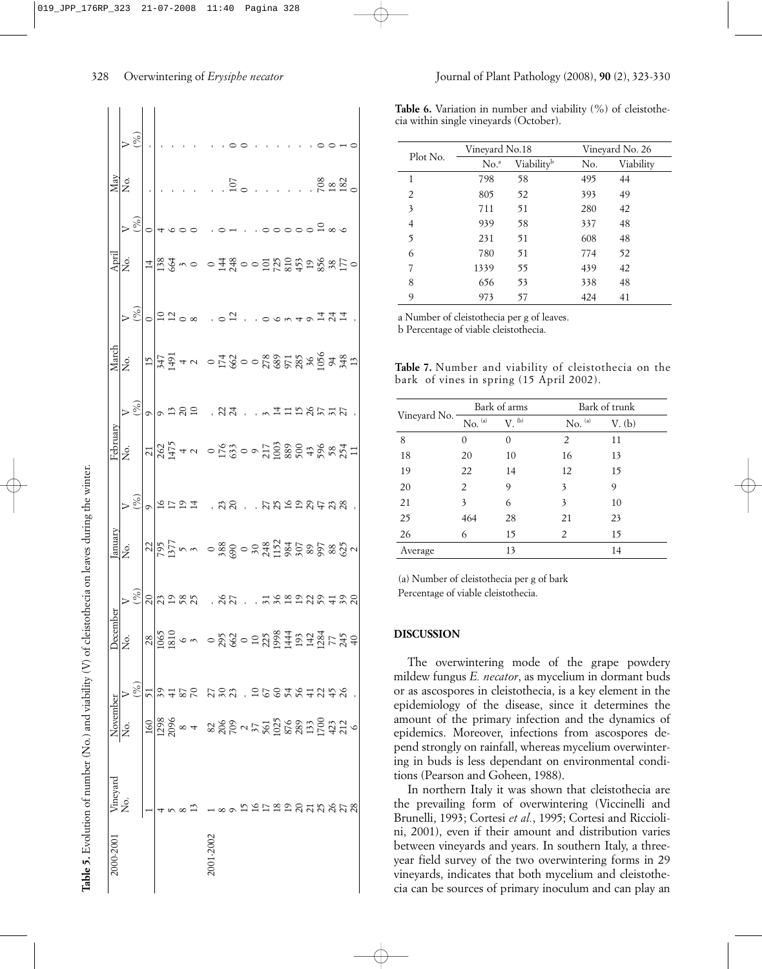| 000-2001 Vineyard |                                                                                                                                                                                                                                                                                                     | November            |                     | Decem                                                                                                                                                                                                                                                                                                     | ber    | anuary                                                                                                                                                                                                                           |                 | Februarv              |                 | March                  |        | Apri                           |               | May    |          |
|-------------------|-----------------------------------------------------------------------------------------------------------------------------------------------------------------------------------------------------------------------------------------------------------------------------------------------------|---------------------|---------------------|-----------------------------------------------------------------------------------------------------------------------------------------------------------------------------------------------------------------------------------------------------------------------------------------------------------|--------|----------------------------------------------------------------------------------------------------------------------------------------------------------------------------------------------------------------------------------|-----------------|-----------------------|-----------------|------------------------|--------|--------------------------------|---------------|--------|----------|
|                   |                                                                                                                                                                                                                                                                                                     | Σó                  |                     | Ź.                                                                                                                                                                                                                                                                                                        |        | Σó.                                                                                                                                                                                                                              |                 | ,<br>Ž                |                 | Σò.                    |        | ,<br>Ž                         |               | ,<br>Ž |          |
|                   |                                                                                                                                                                                                                                                                                                     |                     |                     |                                                                                                                                                                                                                                                                                                           |        |                                                                                                                                                                                                                                  |                 |                       |                 |                        |        |                                | $\frac{5}{6}$ |        | $\aleph$ |
|                   |                                                                                                                                                                                                                                                                                                     |                     |                     |                                                                                                                                                                                                                                                                                                           |        |                                                                                                                                                                                                                                  | $\circ$         |                       | $\circ$         | $\overline{1}$         |        |                                |               |        |          |
|                   |                                                                                                                                                                                                                                                                                                     |                     |                     |                                                                                                                                                                                                                                                                                                           |        |                                                                                                                                                                                                                                  |                 | $\frac{21}{262}$      |                 |                        |        | $\frac{4}{38}$                 |               |        |          |
|                   |                                                                                                                                                                                                                                                                                                     |                     |                     |                                                                                                                                                                                                                                                                                                           |        |                                                                                                                                                                                                                                  |                 |                       |                 | $347$<br>$491$<br>$40$ | 2200   |                                |               |        |          |
|                   |                                                                                                                                                                                                                                                                                                     |                     |                     |                                                                                                                                                                                                                                                                                                           |        |                                                                                                                                                                                                                                  |                 |                       |                 |                        |        |                                |               |        |          |
|                   | 13                                                                                                                                                                                                                                                                                                  |                     |                     |                                                                                                                                                                                                                                                                                                           |        |                                                                                                                                                                                                                                  |                 |                       | $\frac{20}{10}$ |                        |        |                                |               |        |          |
| $1-2002$          |                                                                                                                                                                                                                                                                                                     | $\frac{180}{11280}$ |                     | $\frac{8}{25}$ $\frac{15}{25}$ $\frac{15}{25}$ $\frac{15}{25}$ $\frac{15}{25}$ $\frac{15}{25}$ $\frac{15}{25}$ $\frac{15}{25}$ $\frac{15}{25}$ $\frac{15}{25}$ $\frac{15}{25}$ $\frac{15}{25}$ $\frac{15}{25}$ $\frac{15}{25}$ $\frac{15}{25}$ $\frac{15}{25}$ $\frac{15}{25}$ $\frac{15}{25}$ $\frac{15$ |        | $\frac{185}{187}$ mum o 2009 0 2 3 4 5 2 5 2 5 2 3 3 4 5 4 6 7 8 7 8 3 4 7 8 6 7 8 9 7 8 9 7 8 9 7 8 9 7 8 9 7 8 9 7 8 9 7 8 9 7 8 9 7 8 9 7 8 9 7 8 9 7 8 9 7 8 9 7 8 9 7 8 9 7 8 9 7 8 9 7 8 9 7 8 9 7 8 9 7 8 9 7 8 9 7 8 9 7 | 12221, 221, 221 |                       |                 |                        |        |                                |               |        |          |
|                   |                                                                                                                                                                                                                                                                                                     |                     |                     |                                                                                                                                                                                                                                                                                                           |        |                                                                                                                                                                                                                                  |                 |                       |                 |                        |        |                                |               |        |          |
|                   |                                                                                                                                                                                                                                                                                                     |                     |                     |                                                                                                                                                                                                                                                                                                           |        |                                                                                                                                                                                                                                  |                 | $-283 - 738889888777$ | 24 ~ 11526527 . | $-130008858889872$     | ≌      | $-138000000000000000000000000$ |               | 107    |          |
|                   |                                                                                                                                                                                                                                                                                                     |                     |                     |                                                                                                                                                                                                                                                                                                           |        |                                                                                                                                                                                                                                  |                 |                       |                 |                        |        |                                |               |        |          |
|                   |                                                                                                                                                                                                                                                                                                     |                     |                     |                                                                                                                                                                                                                                                                                                           |        |                                                                                                                                                                                                                                  |                 |                       |                 |                        |        |                                |               |        |          |
|                   |                                                                                                                                                                                                                                                                                                     |                     |                     |                                                                                                                                                                                                                                                                                                           | 708    |                                                                                                                                                                                                                                  |                 |                       |                 |                        |        |                                |               |        |          |
|                   |                                                                                                                                                                                                                                                                                                     |                     |                     |                                                                                                                                                                                                                                                                                                           |        |                                                                                                                                                                                                                                  |                 |                       |                 |                        |        |                                |               |        |          |
|                   |                                                                                                                                                                                                                                                                                                     |                     |                     |                                                                                                                                                                                                                                                                                                           |        |                                                                                                                                                                                                                                  |                 |                       |                 |                        |        |                                |               |        |          |
|                   |                                                                                                                                                                                                                                                                                                     |                     |                     |                                                                                                                                                                                                                                                                                                           |        |                                                                                                                                                                                                                                  |                 |                       |                 |                        |        |                                |               |        |          |
|                   |                                                                                                                                                                                                                                                                                                     |                     |                     |                                                                                                                                                                                                                                                                                                           |        |                                                                                                                                                                                                                                  |                 |                       |                 |                        |        |                                |               |        |          |
|                   | $\begin{array}{l} 22.58 \\ 24.59 \\ 25.80 \\ 26.75 \\ 27.80 \\ 28.75 \\ 29.80 \\ 29.80 \\ 20.75 \\ 20.80 \\ 25.80 \\ 27.80 \\ 28.80 \\ 29.80 \\ 29.80 \\ 29.80 \\ 29.80 \\ 29.80 \\ 29.80 \\ 29.80 \\ 29.80 \\ 29.80 \\ 29.80 \\ 29.80 \\ 29.80 \\ 29.80 \\ 29.80 \\ 29.80 \\ 29.80 \\ 29.80 \\ 29$ |                     |                     |                                                                                                                                                                                                                                                                                                           | 222422 |                                                                                                                                                                                                                                  |                 |                       |                 |                        | 40777. |                                | 000000000     | .8820  |          |
|                   |                                                                                                                                                                                                                                                                                                     |                     |                     |                                                                                                                                                                                                                                                                                                           |        |                                                                                                                                                                                                                                  |                 |                       |                 |                        |        |                                |               |        |          |
|                   |                                                                                                                                                                                                                                                                                                     |                     |                     |                                                                                                                                                                                                                                                                                                           |        |                                                                                                                                                                                                                                  |                 |                       |                 |                        |        |                                |               |        |          |
|                   |                                                                                                                                                                                                                                                                                                     |                     | $\bar{\mathcal{A}}$ |                                                                                                                                                                                                                                                                                                           |        |                                                                                                                                                                                                                                  |                 |                       |                 |                        |        |                                |               |        |          |

Table 5. Evolution of number (No.) and viability (V) of cleistothecia on leaves during the winter. **Table 5.** Evolution of number (No.) and viability (V) of cleistothecia on leaves during the winter.

#### 328 Overwintering of *Erysiphe necator* Journal of Plant Pathology (2008), **90** (2), 323-330

Table 6. Variation in number and viability (%) of cleistothecia within single vineyards (October).

| Plot No. | Vineyard No.18   |                        | Vineyard No. 26 |           |  |
|----------|------------------|------------------------|-----------------|-----------|--|
|          | No. <sup>a</sup> | Viability <sup>b</sup> | No.             | Viability |  |
| 1        | 798              | 58                     | 495             | 44        |  |
| 2        | 805              | 52                     | 393             | 49        |  |
| 3        | 711              | 51                     | 280             | 42        |  |
| 4        | 939              | 58                     | 337             | 48        |  |
| 5        | 231              | 51                     | 608             | 48        |  |
| 6        | 780              | 51                     | 774             | 52        |  |
| 7        | 1339             | 55                     | 439             | 42        |  |
| 8        | 656              | 53                     | 338             | 48        |  |
| 9        | 973              | 57                     | 424             | 41        |  |

a Number of cleistothecia per g of leaves.

b Percentage of viable cleistothecia.

**Table 7.** Number and viability of cleistothecia on the bark of vines in spring (15 April 2002).

|              |                                   | Bark of arms     | Bark of trunk      |        |  |  |
|--------------|-----------------------------------|------------------|--------------------|--------|--|--|
| Vineyard No. | $\mbox{No.}^{\mbox{\tiny $(a)$}}$ | $V.$ (b)         | $\rm No.$ $^{(a)}$ | V. (b) |  |  |
| 8            | 0                                 | $\left( \right)$ | 2                  | 11     |  |  |
| 18           | 20                                | 10               | 16                 | 13     |  |  |
| 19           | 22                                | 14               | 12                 | 15     |  |  |
| 20           | 2                                 | 9                | 3                  | 9      |  |  |
| 21           | 3                                 | 6                | 3                  | 10     |  |  |
| 25           | 464                               | 28               | 21                 | 23     |  |  |
| 26           | 6                                 | 15               | 2                  | 15     |  |  |
| Average      |                                   | 13               |                    | 14     |  |  |

 (a) Number of cleistothecia per g of bark Percentage of viable cleistothecia.

## **DISCUSSION**

The overwintering mode of the grape powdery mildew fungus *E. necator*, as mycelium in dormant buds or as ascospores in cleistothecia, is a key element in the epidemiology of the disease, since it determines the amount of the primary infection and the dynamics of epidemics. Moreover, infections from ascospores depend strongly on rainfall, whereas mycelium overwintering in buds is less dependant on environmental conditions (Pearson and Goheen, 1988).

In northern Italy it was shown that cleistothecia are the prevailing form of overwintering (Viccinelli and Brunelli, 1993; Cortesi *et al.*, 1995; Cortesi and Ricciolini, 2001), even if their amount and distribution varies between vineyards and years. In southern Italy, a threeyear field survey of the two overwintering forms in 29 vineyards, indicates that both mycelium and cleistothecia can be sources of primary inoculum and can play an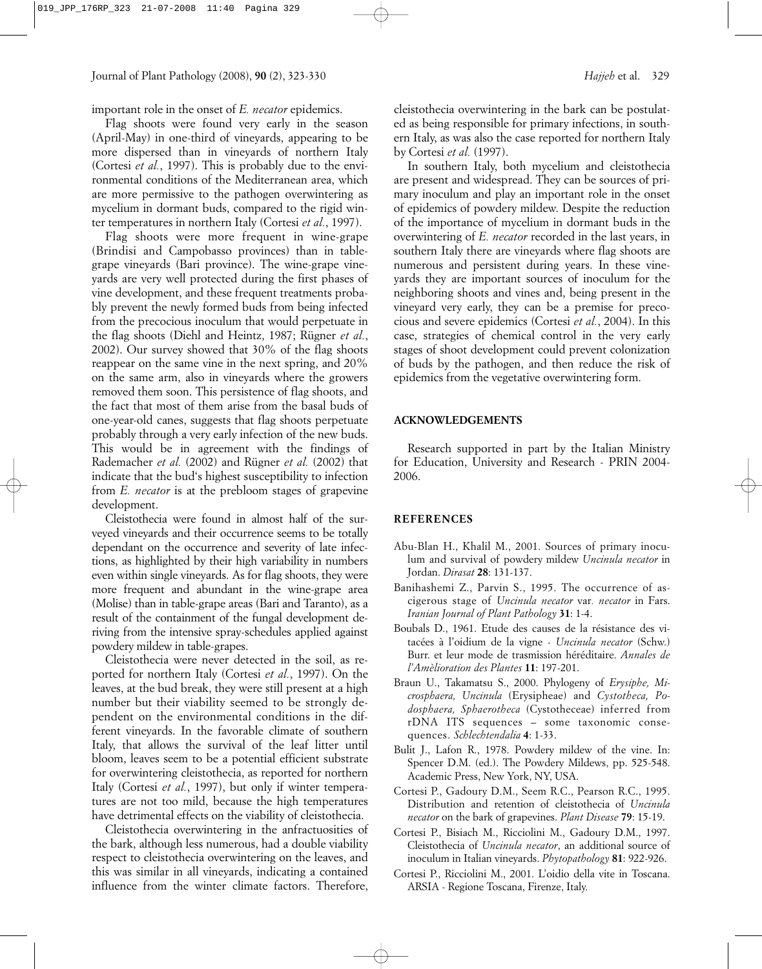Journal of Plant Pathology (2008), **90** (2), 323-330 *Hajjeh* et al. 329

important role in the onset of *E. necator* epidemics.

Flag shoots were found very early in the season (April-May) in one-third of vineyards, appearing to be more dispersed than in vineyards of northern Italy (Cortesi *et al.*, 1997). This is probably due to the environmental conditions of the Mediterranean area, which are more permissive to the pathogen overwintering as mycelium in dormant buds, compared to the rigid winter temperatures in northern Italy (Cortesi *et al.*, 1997).

Flag shoots were more frequent in wine-grape (Brindisi and Campobasso provinces) than in tablegrape vineyards (Bari province). The wine-grape vineyards are very well protected during the first phases of vine development, and these frequent treatments probably prevent the newly formed buds from being infected from the precocious inoculum that would perpetuate in the flag shoots (Diehl and Heintz, 1987; Rügner *et al.*, 2002). Our survey showed that 30% of the flag shoots reappear on the same vine in the next spring, and 20% on the same arm, also in vineyards where the growers removed them soon. This persistence of flag shoots, and the fact that most of them arise from the basal buds of one-year-old canes, suggests that flag shoots perpetuate probably through a very early infection of the new buds. This would be in agreement with the findings of Rademacher *et al.* (2002) and Rügner *et al.* (2002) that indicate that the bud's highest susceptibility to infection from *E. necator* is at the prebloom stages of grapevine development.

Cleistothecia were found in almost half of the surveyed vineyards and their occurrence seems to be totally dependant on the occurrence and severity of late infections, as highlighted by their high variability in numbers even within single vineyards. As for flag shoots, they were more frequent and abundant in the wine-grape area (Molise) than in table-grape areas (Bari and Taranto), as a result of the containment of the fungal development deriving from the intensive spray-schedules applied against powdery mildew in table-grapes.

Cleistothecia were never detected in the soil, as reported for northern Italy (Cortesi *et al.*, 1997). On the leaves, at the bud break, they were still present at a high number but their viability seemed to be strongly dependent on the environmental conditions in the different vineyards. In the favorable climate of southern Italy, that allows the survival of the leaf litter until bloom, leaves seem to be a potential efficient substrate for overwintering cleistothecia, as reported for northern Italy (Cortesi *et al.*, 1997), but only if winter temperatures are not too mild, because the high temperatures have detrimental effects on the viability of cleistothecia.

Cleistothecia overwintering in the anfractuosities of the bark, although less numerous, had a double viability respect to cleistothecia overwintering on the leaves, and this was similar in all vineyards, indicating a contained influence from the winter climate factors. Therefore,

cleistothecia overwintering in the bark can be postulated as being responsible for primary infections, in southern Italy, as was also the case reported for northern Italy by Cortesi *et al.* (1997).

In southern Italy, both mycelium and cleistothecia are present and widespread. They can be sources of primary inoculum and play an important role in the onset of epidemics of powdery mildew. Despite the reduction of the importance of mycelium in dormant buds in the overwintering of *E. necator* recorded in the last years, in southern Italy there are vineyards where flag shoots are numerous and persistent during years. In these vineyards they are important sources of inoculum for the neighboring shoots and vines and, being present in the vineyard very early, they can be a premise for precocious and severe epidemics (Cortesi *et al.*, 2004). In this case, strategies of chemical control in the very early stages of shoot development could prevent colonization of buds by the pathogen, and then reduce the risk of epidemics from the vegetative overwintering form.

#### **ACKNOWLEDGEMENTS**

Research supported in part by the Italian Ministry for Education, University and Research - PRIN 2004- 2006.

### **REFERENCES**

- Abu-Blan H., Khalil M., 2001. Sources of primary inoculum and survival of powdery mildew *Uncinula necator* in Jordan. *Dirasat* **28**: 131-137.
- Banihashemi Z., Parvin S., 1995. The occurrence of ascigerous stage of *Uncinula necator* var*. necator* in Fars. *Iranian Journal of Plant Pathology* **31**: 1-4.
- Boubals D., 1961. Etude des causes de la résistance des vitacées à l'oidium de la vigne - *Uncinula necator* (Schw.) Burr. et leur mode de trasmission héréditaire. *Annales de l'Amèlioration des Plantes* **11**: 197-201.
- Braun U., Takamatsu S., 2000. Phylogeny of *Erysiphe, Microsphaera, Uncinula* (Erysipheae) and *Cystotheca, Podosphaera, Sphaerotheca* (Cystotheceae) inferred from rDNA ITS sequences – some taxonomic consequences. *Schlechtendalia* **4**: 1-33.
- Bulit J., Lafon R., 1978. Powdery mildew of the vine. In: Spencer D.M. (ed.). The Powdery Mildews, pp. 525-548. Academic Press, New York, NY, USA.
- Cortesi P., Gadoury D.M., Seem R.C., Pearson R.C., 1995. Distribution and retention of cleistothecia of *Uncinula necator* on the bark of grapevines. *Plant Disease* **79**: 15-19.
- Cortesi P., Bisiach M., Ricciolini M., Gadoury D.M., 1997. Cleistothecia of *Uncinula necator*, an additional source of inoculum in Italian vineyards. *Phytopathology* **81**: 922-926.
- Cortesi P., Ricciolini M., 2001. L'oidio della vite in Toscana. ARSIA - Regione Toscana, Firenze, Italy.